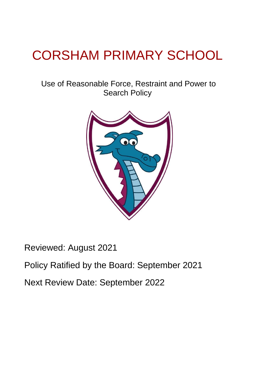# CORSHAM PRIMARY SCHOOL

## Use of Reasonable Force, Restraint and Power to Search Policy



Reviewed: August 2021

Policy Ratified by the Board: September 2021

Next Review Date: September 2022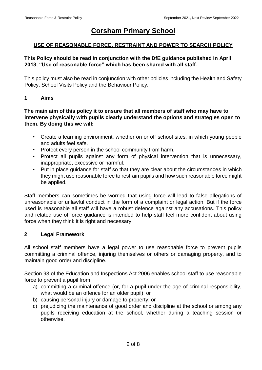### **Corsham Primary School**

#### **USE OF REASONABLE FORCE, RESTRAINT AND POWER TO SEARCH POLICY**

#### **This Policy should be read in conjunction with the DfE guidance published in April 2013, "Use of reasonable force" which has been shared with all staff.**

This policy must also be read in conjunction with other policies including the Health and Safety Policy, School Visits Policy and the Behaviour Policy.

#### **1 Aims**

#### **The main aim of this policy it to ensure that all members of staff who may have to intervene physically with pupils clearly understand the options and strategies open to them. By doing this we will:**

- Create a learning environment, whether on or off school sites, in which young people and adults feel safe.
- Protect every person in the school community from harm.
- Protect all pupils against any form of physical intervention that is unnecessary, inappropriate, excessive or harmful.
- Put in place guidance for staff so that they are clear about the circumstances in which they might use reasonable force to restrain pupils and how such reasonable force might be applied.

Staff members can sometimes be worried that using force will lead to false allegations of unreasonable or unlawful conduct in the form of a complaint or legal action. But if the force used is reasonable all staff will have a robust defence against any accusations. This policy and related use of force guidance is intended to help staff feel more confident about using force when they think it is right and necessary

#### **2 Legal Framework**

All school staff members have a legal power to use reasonable force to prevent pupils committing a criminal offence, injuring themselves or others or damaging property, and to maintain good order and discipline.

Section 93 of the Education and Inspections Act 2006 enables school staff to use reasonable force to prevent a pupil from:

- a) committing a criminal offence (or, for a pupil under the age of criminal responsibility, what would be an offence for an older pupil); or
- b) causing personal injury or damage to property; or
- c) prejudicing the maintenance of good order and discipline at the school or among any pupils receiving education at the school, whether during a teaching session or otherwise.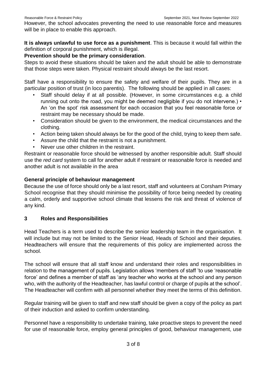However, the school advocates preventing the need to use reasonable force and measures will be in place to enable this approach.

**It is always unlawful to use force as a punishment**. This is because it would fall within the definition of corporal punishment, which is illegal.

#### **Prevention should be the primary consideration**.

Steps to avoid these situations should be taken and the adult should be able to demonstrate that those steps were taken. Physical restraint should always be the last resort.

Staff have a responsibility to ensure the safety and welfare of their pupils. They are in a particular position of trust (in loco parentis). The following should be applied in all cases:

- Staff should delay if at all possible. (However, in some circumstances e.g. a child running out onto the road, you might be deemed negligible if you do not intervene.) • An 'on the spot' risk assessment for each occasion that you feel reasonable force or restraint may be necessary should be made.
- Consideration should be given to the environment, the medical circumstances and the clothing.
- Action being taken should always be for the good of the child, trying to keep them safe.
- Assure the child that the restraint is not a punishment.
- Never use other children in the restraint.

Restraint or reasonable force should be witnessed by another responsible adult. Staff should use the *red card* system to call for another adult if restraint or reasonable force is needed and another adult is not available in the area

#### **General principle of behaviour management**

Because the use of force should only be a last resort, staff and volunteers at Corsham Primary School recognise that they should minimise the possibility of force being needed by creating a calm, orderly and supportive school climate that lessens the risk and threat of violence of any kind.

#### **3 Roles and Responsibilities**

Head Teachers is a term used to describe the senior leadership team in the organisation. It will include but may not be limited to the Senior Head, Heads of School and their deputies. Headteachers will ensure that the requirements of this policy are implemented across the school.

The school will ensure that all staff know and understand their roles and responsibilities in relation to the management of pupils. Legislation allows 'members of staff 'to use 'reasonable force' and defines a member of staff as 'any teacher who works at the school and any person who, with the authority of the Headteacher, has lawful control or charge of pupils at the school'. The Headteacher will confirm with all personnel whether they meet the terms of this definition.

Regular training will be given to staff and new staff should be given a copy of the policy as part of their induction and asked to confirm understanding.

Personnel have a responsibility to undertake training, take proactive steps to prevent the need for use of reasonable force, employ general principles of good, behaviour management, use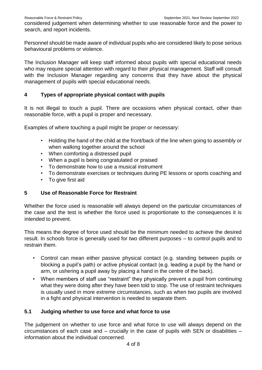considered judgement when determining whether to use reasonable force and the power to search, and report incidents.

Personnel should be made aware of individual pupils who are considered likely to pose serious behavioural problems or violence.

The Inclusion Manager will keep staff informed about pupils with special educational needs who may require special attention with regard to their physical management. Staff will consult with the Inclusion Manager regarding any concerns that they have about the physical management of pupils with special educational needs.

#### **4 Types of appropriate physical contact with pupils**

It is not illegal to touch a pupil. There are occasions when physical contact, other than reasonable force, with a pupil is proper and necessary.

Examples of where touching a pupil might be proper or necessary:

- Holding the hand of the child at the front/back of the line when going to assembly or when walking together around the school
- When comforting a distressed pupil
- When a pupil is being congratulated or praised
- To demonstrate how to use a musical instrument
- To demonstrate exercises or techniques during PE lessons or sports coaching and
- To give first aid

#### **5 Use of Reasonable Force for Restraint**

Whether the force used is reasonable will always depend on the particular circumstances of the case and the test is whether the force used is proportionate to the consequences it is intended to prevent.

This means the degree of force used should be the minimum needed to achieve the desired result. In schools force is generally used for two different purposes – to control pupils and to restrain them.

- Control can mean either passive physical contact (e.g. standing between pupils or blocking a pupil's path) or active physical contact (e.g. leading a pupil by the hand or arm, or ushering a pupil away by placing a hand in the centre of the back).
- When members of staff use "restraint" they physically prevent a pupil from continuing what they were doing after they have been told to stop. The use of restraint techniques is usually used in more extreme circumstances, such as when two pupils are involved in a fight and physical intervention is needed to separate them.

#### **5.1 Judging whether to use force and what force to use**

The judgement on whether to use force and what force to use will always depend on the circumstances of each case and – crucially in the case of pupils with SEN or disabilities – information about the individual concerned.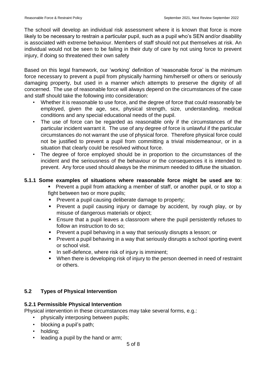The school will develop an individual risk assessment where it is known that force is more likely to be necessary to restrain a particular pupil, such as a pupil who's SEN and/or disability is associated with extreme behaviour. Members of staff should not put themselves at risk. An individual would not be seen to be failing in their duty of care by not using force to prevent injury, if doing so threatened their own safety

Based on this legal framework, our 'working' definition of 'reasonable force' is the minimum force necessary to prevent a pupil from physically harming him/herself or others or seriously damaging property, but used in a manner which attempts to preserve the dignity of all concerned. The use of reasonable force will always depend on the circumstances of the case and staff should take the following into consideration:

- Whether it is reasonable to use force, and the degree of force that could reasonably be employed, given the age, sex, physical strength, size, understanding, medical conditions and any special educational needs of the pupil.
- The use of force can be regarded as reasonable only if the circumstances of the particular incident warrant it. The use of any degree of force is unlawful if the particular circumstances do not warrant the use of physical force. Therefore physical force could not be justified to prevent a pupil from committing a trivial misdemeanour, or in a situation that clearly could be resolved without force.
- The degree of force employed should be in proportion to the circumstances of the incident and the seriousness of the behaviour or the consequences it is intended to prevent. Any force used should always be the minimum needed to diffuse the situation.

#### **5.1.1 Some examples of situations where reasonable force might be used are to**:

- Prevent a pupil from attacking a member of staff, or another pupil, or to stop a fight between two or more pupils;
- **Prevent a pupil causing deliberate damage to property;**
- **Prevent a pupil causing injury or damage by accident, by rough play, or by** misuse of dangerous materials or object;
- Ensure that a pupil leaves a classroom where the pupil persistently refuses to follow an instruction to do so;
- **Prevent a pupil behaving in a way that seriously disrupts a lesson; or**
- Prevent a pupil behaving in a way that seriously disrupts a school sporting event or school visit.
- In self-defence, where risk of injury is imminent;
- When there is developing risk of injury to the person deemed in need of restraint or others.

#### **5.2 Types of Physical Intervention**

#### **5.2.1 Permissible Physical Intervention**

Physical intervention in these circumstances may take several forms, e.g.:

- physically interposing between pupils;
- blocking a pupil's path;
- holding;
- leading a pupil by the hand or arm;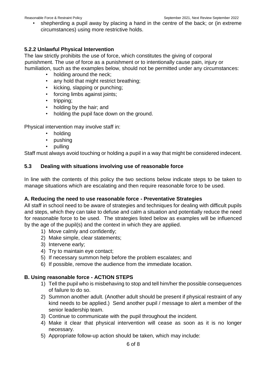• shepherding a pupil away by placing a hand in the centre of the back; or (in extreme circumstances) using more restrictive holds.

#### **5.2.2 Unlawful Physical Intervention**

The law strictly prohibits the use of force, which constitutes the giving of corporal punishment. The use of force as a punishment or to intentionally cause pain, injury or humiliation, such as the examples below, should not be permitted under any circumstances:

- holding around the neck;
- any hold that might restrict breathing;
- kicking, slapping or punching;
- forcing limbs against joints:
- tripping;
- holding by the hair; and
- holding the pupil face down on the ground.

Physical intervention may involve staff in:

- holding
- pushing
- pulling

Staff must always avoid touching or holding a pupil in a way that might be considered indecent.

#### **5.3 Dealing with situations involving use of reasonable force**

In line with the contents of this policy the two sections below indicate steps to be taken to manage situations which are escalating and then require reasonable force to be used.

#### **A. Reducing the need to use reasonable force - Preventative Strategies**

All staff in school need to be aware of strategies and techniques for dealing with difficult pupils and steps, which they can take to defuse and calm a situation and potentially reduce the need for reasonable force to be used. The strategies listed below as examples will be influenced by the age of the pupil(s) and the context in which they are applied.

- 1) Move calmly and confidently;
- 2) Make simple, clear statements;
- 3) Intervene early;
- 4) Try to maintain eye contact;
- 5) If necessary summon help before the problem escalates; and
- 6) If possible, remove the audience from the immediate location.

#### **B. Using reasonable force - ACTION STEPS**

- 1) Tell the pupil who is misbehaving to stop and tell him/her the possible consequences of failure to do so.
- 2) Summon another adult. (Another adult should be present if physical restraint of any kind needs to be applied.) Send another pupil / message to alert a member of the senior leadership team.
- 3) Continue to communicate with the pupil throughout the incident.
- 4) Make it clear that physical intervention will cease as soon as it is no longer necessary.
- 5) Appropriate follow-up action should be taken, which may include: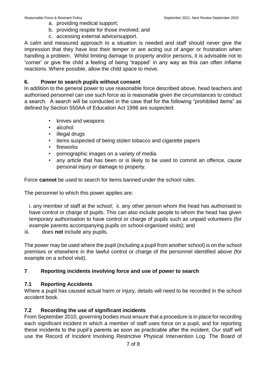- a. providing medical support;
- b. providing respite for those involved; and
- c. accessing external advice/support.

A calm and measured approach to a situation is needed and staff should never give the impression that they have lost their temper or are acting out of anger or frustration when handling a problem. Whilst limiting damage to property and/or persons, it is advisable not to 'corner' or give the child a feeling of being 'trapped' in any way as this can often inflame reactions. Where possible, allow the child space to move.

#### **6. Power to search pupils without consent**

In addition to the general power to use reasonable force described above, head teachers and authorised personnel can use such force as is reasonable given the circumstances to conduct a search. A search will be conducted in the case that for the following "prohibited items" as defined by Section 550AA of Education Act 1996 are suspected:

- knives and weapons
- alcohol
- illegal drugs
- items suspected of being stolen tobacco and cigarette papers
- **fireworks**
- pornographic images on a variety of media
- any article that has been or is likely to be used to commit an offence, cause personal injury or damage to property.

Force **cannot** be used to search for items banned under the school rules.

The personnel to which this power applies are:

i. any member of staff at the school; ii. any other person whom the head has authorised to have control or charge of pupils. This can also include people to whom the head has given temporary authorisation to have control or charge of pupils such as unpaid volunteers (for example parents accompanying pupils on school-organised visits); and

iii. does **not** include any pupils.

The power may be used where the pupil (including a pupil from another school) is on the school premises or elsewhere in the lawful control or charge of the personnel identified above (for example on a school visit).

#### **7 Reporting incidents involving force and use of power to search**

#### **7.1 Reporting Accidents**

Where a pupil has caused actual harm or injury, details will need to be recorded in the school accident book.

#### **7.2 Recording the use of significant incidents**

From September 2010, governing bodies must ensure that a procedure is in place for recording each significant incident in which a member of staff uses force on a pupil, and for reporting these incidents to the pupil's parents as soon as practicable after the incident. Our staff will use the Record of Incident Involving Restrictive Physical Intervention Log. The Board of